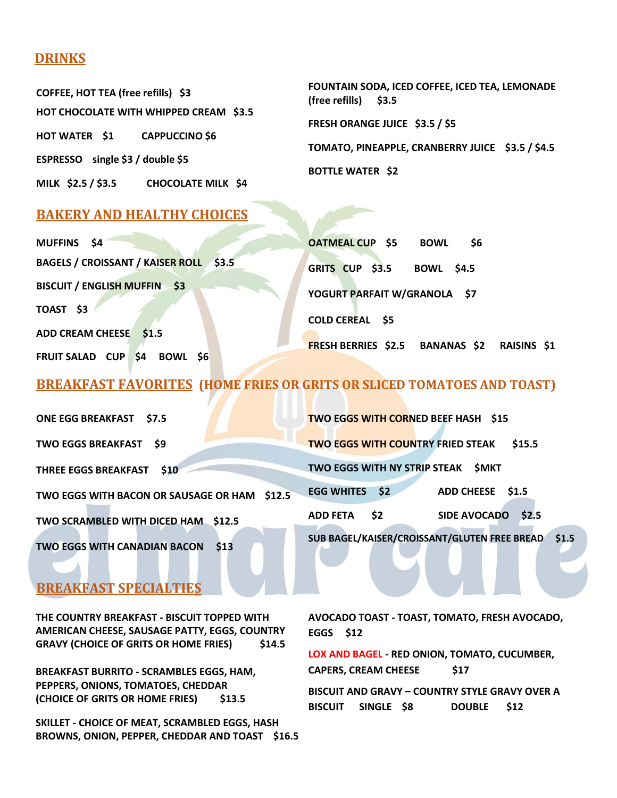### **DRINKS**

**COFFEE, HOT TEA (free refills) \$3 HOT CHOCOLATE WITH WHIPPED CREAM \$3.5 HOT WATER \$1 CAPPUCCINO \$6 ESPRESSO single \$3 / double \$5 MILK \$2.5 / \$3.5 CHOCOLATE MILK \$4**

**FOUNTAIN SODA, ICED COFFEE, ICED TEA, LEMONADE (free refills) \$3.5 FRESH ORANGE JUICE \$3.5 / \$5 TOMATO, PINEAPPLE, CRANBERRY JUICE \$3.5 / \$4.5 BOTTLE WATER \$2** 

## **BAKERY AND HEALTHY CHOICES**

| MUFFINS \$4                                                | <b>OATMEAL CUP \$5</b><br>BOWL<br>- \$6     |
|------------------------------------------------------------|---------------------------------------------|
| BAGELS / CROISSANT / KAISER ROLL \$3.5                     | GRITS CUP \$3.5<br><b>BOWL \$4.5</b>        |
| <b>BISCUIT / ENGLISH MUFFIN \$3</b>                        | YOGURT PARFAIT W/GRANOLA \$7                |
| TOAST \$3                                                  | <b>COLD CEREAL \$5</b>                      |
| ADD CREAM CHEESE \$1.5                                     |                                             |
| $\frac{1}{2}$<br><b>FRUIT SALAD CUP</b><br><b>BOWL \$6</b> | FRESH BERRIES \$2.5 BANANAS \$2 RAISINS \$1 |

# **BREAKFAST FAVORITES (HOME FRIES OR GRITS OR SLICED TOMATOES AND TOAST)**

| <b>ONE EGG BREAKFAST \$7.5</b>                    | TWO EGGS WITH CORNED BEEF HASH \$15                          |
|---------------------------------------------------|--------------------------------------------------------------|
| <b>TWO EGGS BREAKFAST</b><br>- S9                 | <b>TWO EGGS WITH COUNTRY FRIED STEAK</b><br>\$15.5           |
| <b>THREE EGGS BREAKFAST</b><br><b>S10</b>         | TWO EGGS WITH NY STRIP STEAK<br><b>SMKT</b>                  |
| TWO EGGS WITH BACON OR SAUSAGE OR HAM \$12.5      | <b>EGG WHITES</b><br>$\sqrt{52}$<br>ADD CHEESE \$1.5         |
| TWO SCRAMBLED WITH DICED HAM \$12.5               | \$2<br><b>SIDE AVOCADO</b><br><b>ADD FETA</b><br><b>S2.5</b> |
| <b>TWO EGGS WITH CANADIAN BACON</b><br><b>S13</b> | SUB BAGEL/KAISER/CROISSANT/GLUTEN FREE BREAD \$1.5           |

# **BREAKFAST SPECIALTIES**

**THE COUNTRY BREAKFAST - BISCUIT TOPPED WITH AMERICAN CHEESE, SAUSAGE PATTY, EGGS, COUNTRY GRAVY (CHOICE OF GRITS OR HOME FRIES) \$14.5**

**BREAKFAST BURRITO - SCRAMBLES EGGS, HAM, PEPPERS, ONIONS, TOMATOES, CHEDDAR (CHOICE OF GRITS OR HOME FRIES) \$13.5**

**SKILLET - CHOICE OF MEAT, SCRAMBLED EGGS, HASH BROWNS, ONION, PEPPER, CHEDDAR AND TOAST \$16.5** **AVOCADO TOAST - TOAST, TOMATO, FRESH AVOCADO, EGGS \$12**

**LOX AND BAGEL - RED ONION, TOMATO, CUCUMBER, CAPERS, CREAM CHEESE \$17**

**BISCUIT AND GRAVY – COUNTRY STYLE GRAVY OVER A BISCUIT SINGLE \$8 DOUBLE \$12**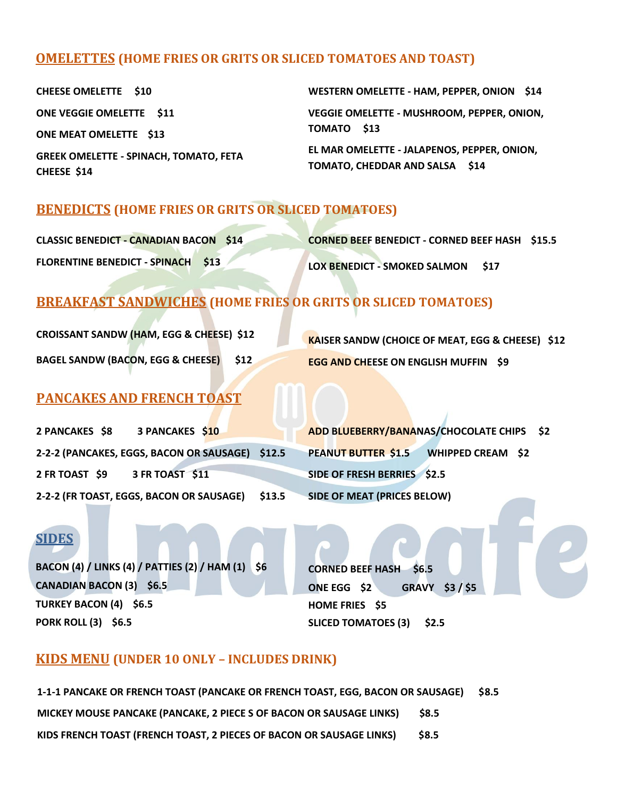### **OMELETTES (HOME FRIES OR GRITS OR SLICED TOMATOES AND TOAST)**

**CHEESE OMELETTE \$10 ONE VEGGIE OMELETTE \$11 ONE MEAT OMELETTE \$13 GREEK OMELETTE - SPINACH, TOMATO, FETA CHEESE \$14** 

**WESTERN OMELETTE - HAM, PEPPER, ONION \$14 VEGGIE OMELETTE - MUSHROOM, PEPPER, ONION, TOMATO \$13**

**EL MAR OMELETTE - JALAPENOS, PEPPER, ONION, TOMATO, CHEDDAR AND SALSA \$14**

### **BENEDICTS (HOME FRIES OR GRITS OR SLICED TOMATOES)**

| <b>CLASSIC BENEDICT - CANADIAN BACON \$14</b> | <b>CORNED BEEF BENEDICT - CORNED BEEF HASH \$15.5</b> |
|-----------------------------------------------|-------------------------------------------------------|
| <b>FLORENTINE BENEDICT - SPINACH \$13</b>     | LOX BENEDICT - SMOKED SALMON \$17                     |

# **BREAKFAST SANDWICHES (HOME FRIES OR GRITS OR SLICED TOMATOES)**

**CROISSANT SANDW (HAM, EGG & CHEESE) \$12 BAGEL SANDW (BACON, EGG & CHEESE) \$12**

**KAISER SANDW (CHOICE OF MEAT, EGG & CHEESE) \$12 EGG AND CHEESE ON ENGLISH MUFFIN \$9**

### **PANCAKES AND FRENCH TOAST**

**2 PANCAKES \$8 3 PANCAKES \$10 2-2-2 (PANCAKES, EGGS, BACON OR SAUSAGE) \$12.5 2 FR TOAST \$9 3 FR TOAST \$11 2-2-2 (FR TOAST, EGGS, BACON OR SAUSAGE) \$13.5**

**ADD BLUEBERRY/BANANAS/CHOCOLATE CHIPS \$2 PEANUT BUTTER \$1.5 WHIPPED CREAM \$2 SIDE OF FRESH BERRIES \$2.5 SIDE OF MEAT (PRICES BELOW)**

# **SIDES**

**BACON (4) / LINKS (4) / PATTIES (2) / HAM (1) \$6 CANADIAN BACON (3) \$6.5 TURKEY BACON (4) \$6.5 PORK ROLL (3) \$6.5** 

**CORNED BEEF HASH \$6.5 ONE EGG \$2 GRAVY \$3 / \$5 HOME FRIES \$5 SLICED TOMATOES (3) \$2.5**

#### **KIDS MENU (UNDER 10 ONLY – INCLUDES DRINK)**

**1-1-1 PANCAKE OR FRENCH TOAST (PANCAKE OR FRENCH TOAST, EGG, BACON OR SAUSAGE) \$8.5 MICKEY MOUSE PANCAKE (PANCAKE, 2 PIECE S OF BACON OR SAUSAGE LINKS) \$8.5 KIDS FRENCH TOAST (FRENCH TOAST, 2 PIECES OF BACON OR SAUSAGE LINKS) \$8.5**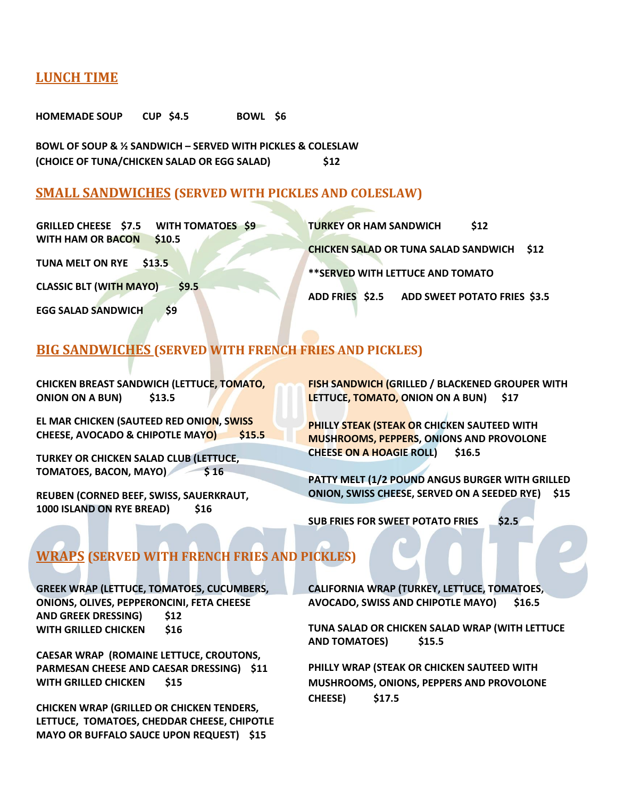#### **LUNCH TIME**

**HOMEMADE SOUP CUP \$4.5 BOWL \$6** 

**BOWL OF SOUP & ½ SANDWICH – SERVED WITH PICKLES & COLESLAW (CHOICE OF TUNA/CHICKEN SALAD OR EGG SALAD) \$12**

#### **SMALL SANDWICHES (SERVED WITH PICKLES AND COLESLAW)**

| GRILLED CHEESE \$7.5 WITH TOMATOES \$9            | \$12<br><b>TURKEY OR HAM SANDWICH</b>            |
|---------------------------------------------------|--------------------------------------------------|
| <b>WITH HAM OR BACON</b><br>\$10.5                |                                                  |
|                                                   | <b>CHICKEN SALAD OR TUNA SALAD SANDWICH \$12</b> |
| TUNA MELT ON RYE \$13.5                           | ** SERVED WITH LETTUCE AND TOMATO                |
| <b>CLASSIC BLT (WITH MAYO)</b><br>$\mathsf{S}9.5$ |                                                  |
|                                                   | ADD FRIES \$2.5 ADD SWEET POTATO FRIES \$3.5     |
| <b>EGG SALAD SANDWICH</b><br>S <sub>9</sub>       |                                                  |

#### **BIG SANDWICHES (SERVED WITH FRENCH FRIES AND PICKLES)**

**CHICKEN BREAST SANDWICH (LETTUCE, TOMATO, ONION ON A BUN) \$13.5**

**EL MAR CHICKEN (SAUTEED RED ONION, SWISS CHEESE, AVOCADO & CHIPOTLE MAYO) \$15.5**

**TURKEY OR CHICKEN SALAD CLUB (LETTUCE, TOMATOES, BACON, MAYO) \$ 16**

**REUBEN (CORNED BEEF, SWISS, SAUERKRAUT, 1000 ISLAND ON RYE BREAD) \$16**

**FISH SANDWICH (GRILLED / BLACKENED GROUPER WITH LETTUCE, TOMATO, ONION ON A BUN) \$17**

**PHILLY STEAK (STEAK OR CHICKEN SAUTEED WITH MUSHROOMS, PEPPERS, ONIONS AND PROVOLONE CHEESE ON A HOAGIE ROLL) \$16.5**

**PATTY MELT (1/2 POUND ANGUS BURGER WITH GRILLED ONION, SWISS CHEESE, SERVED ON A SEEDED RYE) \$15**

**SUB FRIES FOR SWEET POTATO FRIES \$2.5**

## **WRAPS (SERVED WITH FRENCH FRIES AND PICKLES)**

**GREEK WRAP (LETTUCE, TOMATOES, CUCUMBERS, ONIONS, OLIVES, PEPPERONCINI, FETA CHEESE AND GREEK DRESSING) \$12 WITH GRILLED CHICKEN \$16**

**CAESAR WRAP (ROMAINE LETTUCE, CROUTONS, PARMESAN CHEESE AND CAESAR DRESSING) \$11 WITH GRILLED CHICKEN \$15** 

**CHICKEN WRAP (GRILLED OR CHICKEN TENDERS, LETTUCE, TOMATOES, CHEDDAR CHEESE, CHIPOTLE MAYO OR BUFFALO SAUCE UPON REQUEST) \$15**

**CALIFORNIA WRAP (TURKEY, LETTUCE, TOMATOES, AVOCADO, SWISS AND CHIPOTLE MAYO) \$16.5**

**TUNA SALAD OR CHICKEN SALAD WRAP (WITH LETTUCE AND TOMATOES) \$15.5**

**PHILLY WRAP (STEAK OR CHICKEN SAUTEED WITH MUSHROOMS, ONIONS, PEPPERS AND PROVOLONE CHEESE) \$17.5**